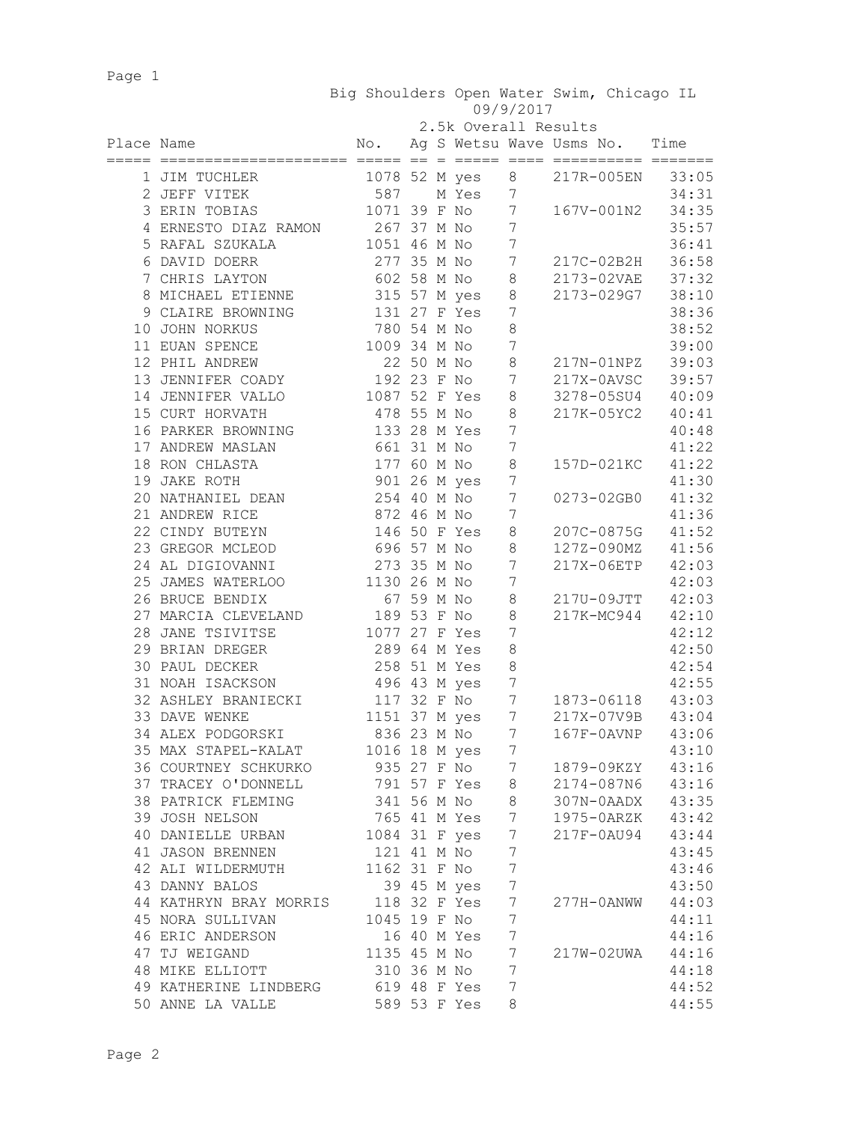Page 1

| Big Shoulders Open Water Swim, Chicago IL |           |  |  |
|-------------------------------------------|-----------|--|--|
|                                           | 09/9/2017 |  |  |

|  | 2.5k Overall Results |  |
|--|----------------------|--|
|  |                      |  |

| Place Name |                                     | $\mathbb N$ o. |            |               |                  | Ag S Wetsu Wave Usms No. Time<br>emmen er |       |
|------------|-------------------------------------|----------------|------------|---------------|------------------|-------------------------------------------|-------|
|            | 1 JIM TUCHLER                       |                |            | 1078 52 M yes | 8                | 217R-005EN                                | 33:05 |
|            | 2 JEFF VITEK                        | 587            |            | M Yes         | 7                |                                           | 34:31 |
|            | 3 ERIN TOBIAS                       |                |            | 1071 39 F No  | $\overline{7}$   | 167V-001N2                                | 34:35 |
|            | 4 ERNESTO DIAZ RAMON                | 267 37 M No    |            |               | $\overline{7}$   |                                           | 35:57 |
|            | 5 RAFAL SZUKALA                     | 1051 46 M No   |            |               | $\boldsymbol{7}$ |                                           | 36:41 |
|            | 6 DAVID DOERR                       | 277 35 M No    |            |               | $\boldsymbol{7}$ | 217C-02B2H                                | 36:58 |
|            | 7 CHRIS LAYTON                      | 602 58 M No    |            |               | $\,8\,$          | 2173-02VAE                                | 37:32 |
|            | 8 MICHAEL ETIENNE                   |                |            | 315 57 M yes  | $\,8\,$          | 2173-029G7                                | 38:10 |
|            | 9 CLAIRE BROWNING                   |                |            | 131 27 F Yes  | 7                |                                           | 38:36 |
|            | 10 JOHN NORKUS                      | 780 54 M No    |            |               | $\,8\,$          |                                           | 38:52 |
|            | 11 EUAN SPENCE                      | 1009 34 M No   |            |               | $\boldsymbol{7}$ |                                           | 39:00 |
|            | 12 PHIL ANDREW                      |                | 22 50 M No |               | $\,8\,$          | 217N-01NPZ                                | 39:03 |
|            | 13 JENNIFER COADY                   | 192 23 F No    |            |               | $7\phantom{.0}$  | 217X-0AVSC                                | 39:57 |
|            | 14 JENNIFER VALLO                   | 1087 52 F Yes  |            |               | 8                | 3278-05SU4                                | 40:09 |
|            | 15 CURT HORVATH                     | 478 55 M No    |            |               | 8                | 217K-05YC2                                | 40:41 |
|            | 16 PARKER BROWNING                  |                |            | 133 28 M Yes  | 7                |                                           | 40:48 |
|            | 17 ANDREW MASLAN                    | 661 31 M No    |            |               | 7                |                                           | 41:22 |
|            | 18 RON CHLASTA                      | 177 60 M No    |            |               | $\,8\,$          | 157D-021KC                                | 41:22 |
|            | 19 JAKE ROTH                        |                |            | 901 26 M yes  | 7                |                                           | 41:30 |
|            | 20 NATHANIEL DEAN                   | 254 40 M No    |            |               | 7                | 0273-02GB0                                | 41:32 |
|            | 21 ANDREW RICE                      | 872 46 M No    |            |               | 7                |                                           | 41:36 |
|            | 22 CINDY BUTEYN                     |                |            | 146 50 F Yes  | $\,8\,$          | 207C-0875G                                | 41:52 |
|            | 23 GREGOR MCLEOD                    | 696 57 M No    |            |               | $\,8\,$          | 127Z-090MZ                                | 41:56 |
|            | 24 AL DIGIOVANNI                    | 273 35 M No    |            |               | $\overline{7}$   | 217X-06ETP                                | 42:03 |
|            | 25 JAMES WATERLOO                   | 1130 26 M No   |            |               | 7                |                                           | 42:03 |
|            | 26 BRUCE BENDIX                     | 67 59 M No     |            |               | $\,8\,$          | 217U-09JTT                                | 42:03 |
|            | 27 MARCIA CLEVELAND                 | 189 53 F No    |            |               | $\,8\,$          | 217K-MC944                                | 42:10 |
|            | 28 JANE TSIVITSE                    | 1077 27 F Yes  |            |               | 7                |                                           | 42:12 |
|            | 29 BRIAN DREGER                     | 289 64 M Yes   |            |               | 8                |                                           | 42:50 |
|            | 30 PAUL DECKER                      | 258 51 M Yes   |            |               | $\,8\,$          |                                           | 42:54 |
|            | 31 NOAH ISACKSON                    | 496 43 M yes   |            |               | 7                |                                           | 42:55 |
|            | 32 ASHLEY BRANIECKI                 |                |            | 117 32 F No   | $7\phantom{.0}$  | 1873-06118                                | 43:03 |
|            | 33 DAVE WENKE                       |                |            | 1151 37 M yes | 7                | 217X-07V9B                                | 43:04 |
|            | 34 ALEX PODGORSKI                   | 836 23 M No    |            |               | 7                | $167F-0AVNP$                              | 43:06 |
|            | 35 MAX STAPEL-KALAT                 |                |            | 1016 18 M yes | $\overline{7}$   |                                           | 43:10 |
|            | 36 COURTNEY SCHKURKO                | 935 27 F No    |            |               | $\boldsymbol{7}$ | 1879-09KZY                                | 43:16 |
|            | 37 TRACEY O'DONNELL                 |                |            | 791 57 F Yes  | 8                | 2174-087N6 43:16                          |       |
|            | 38 PATRICK FLEMING                  | 341 56 M No    |            |               | 8                | 307N-0AADX 43:35                          |       |
|            | 39 JOSH NELSON                      | 765 41 M Yes   |            |               | 7                | 1975-0ARZK 43:42                          |       |
|            | 40 DANIELLE URBAN                   | 1084 31 F yes  |            |               | 7                | 217F-0AU94                                | 43:44 |
|            | 41 JASON BRENNEN                    | 121 41 M No    |            |               | 7                |                                           | 43:45 |
|            | 42 ALI WILDERMUTH                   | 1162 31 F No   |            |               | 7                |                                           | 43:46 |
|            | 43 DANNY BALOS                      |                |            | 39 45 M yes   | $\boldsymbol{7}$ |                                           | 43:50 |
|            | 44 KATHRYN BRAY MORRIS 118 32 F Yes |                |            |               | 7                | 277H-0ANWW                                | 44:03 |
|            | 45 NORA SULLIVAN                    | 1045 19 F No   |            |               | 7                |                                           | 44:11 |
|            | 46 ERIC ANDERSON                    |                |            | 16 40 M Yes   | $\overline{7}$   |                                           | 44:16 |
|            | 47 TJ WEIGAND                       | 1135 45 M No   |            |               | $7\phantom{.}$   | 217W-02UWA                                | 44:16 |
|            | 48 MIKE ELLIOTT                     | 310 36 M No    |            |               | 7                |                                           | 44:18 |
|            | 49 KATHERINE LINDBERG               | 619 48 F Yes   |            |               | 7                |                                           | 44:52 |
|            | 50 ANNE LA VALLE                    | 589 53 F Yes   |            |               | 8                |                                           | 44:55 |
|            |                                     |                |            |               |                  |                                           |       |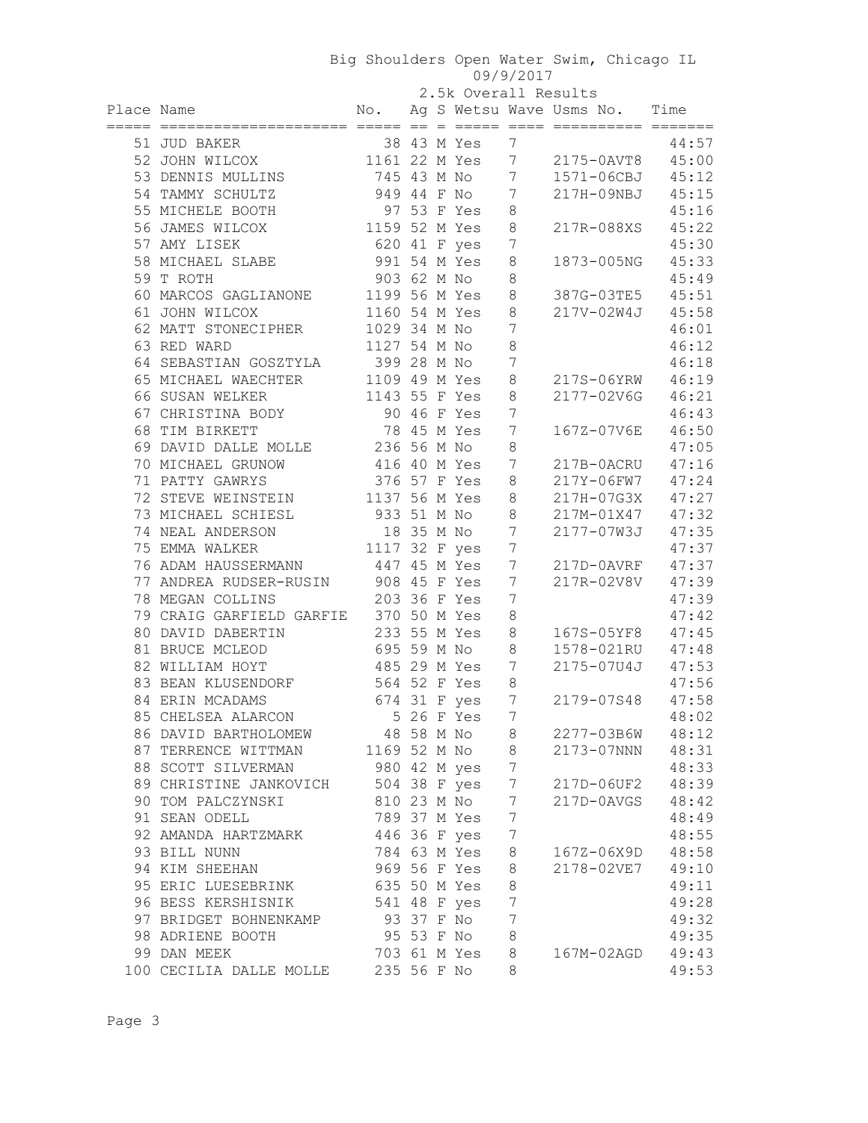| 2.5k Overall Results |  |
|----------------------|--|
|                      |  |

|            |                                 |               |            | 2.5k Overall Results |                  |                               |       |
|------------|---------------------------------|---------------|------------|----------------------|------------------|-------------------------------|-------|
| Place Name |                                 | No.           |            |                      |                  | Ag S Wetsu Wave Usms No. Time |       |
|            | =============================== |               |            |                      |                  |                               |       |
|            | 51 JUD BAKER                    |               |            | 38 43 M Yes          | 7                |                               | 44:57 |
|            | 52 JOHN WILCOX                  |               |            | 1161 22 M Yes        | $7\phantom{.0}$  | 2175-0AVT8                    | 45:00 |
|            | 53 DENNIS MULLINS               | 745 43 M No   |            |                      | $\overline{7}$   | 1571-06CBJ                    | 45:12 |
|            | 54 TAMMY SCHULTZ                | 949 44 F No   |            |                      | $\boldsymbol{7}$ | 217H-09NBJ                    | 45:15 |
|            | 55 MICHELE BOOTH                |               |            | 97 53 F Yes          | 8                |                               | 45:16 |
|            | 56 JAMES WILCOX                 | 1159 52 M Yes |            |                      | 8                | 217R-088XS                    | 45:22 |
|            | 57 AMY LISEK                    | 620 41 F yes  |            |                      | 7                |                               | 45:30 |
|            | 58 MICHAEL SLABE                | 991 54 M Yes  |            |                      | 8                | 1873-005NG                    | 45:33 |
|            | 59 T ROTH                       | 903 62 M No   |            |                      | 8                |                               | 45:49 |
|            | 60 MARCOS GAGLIANONE            | 1199 56 M Yes |            |                      | 8                | 387G-03TE5                    | 45:51 |
|            | 61 JOHN WILCOX                  | 1160 54 M Yes |            |                      | 8                | 217V-02W4J                    | 45:58 |
|            | 62 MATT STONECIPHER             | 1029 34 M No  |            |                      | 7                |                               | 46:01 |
|            | 63 RED WARD                     | 1127 54 M No  |            |                      | 8                |                               | 46:12 |
|            | 64 SEBASTIAN GOSZTYLA           | 399 28 M No   |            |                      | 7                |                               | 46:18 |
|            | 65 MICHAEL WAECHTER             | 1109 49 M Yes |            |                      | 8                | 217S-06YRW                    | 46:19 |
|            | 66 SUSAN WELKER                 | 1143 55 F Yes |            |                      | 8                | 2177-02V6G                    | 46:21 |
|            | 67 CHRISTINA BODY               |               |            | 90 46 F Yes          | 7                |                               | 46:43 |
|            | 68 TIM BIRKETT                  |               |            | 78 45 M Yes          | 7                | 167Z-07V6E                    | 46:50 |
|            | 69 DAVID DALLE MOLLE            | 236 56 M No   |            |                      | $\,8\,$          |                               | 47:05 |
|            | 70 MICHAEL GRUNOW               | 416 40 M Yes  |            |                      | 7                | 217B-0ACRU                    | 47:16 |
|            | 71 PATTY GAWRYS                 | 376 57 F Yes  |            |                      | 8                | 217Y-06FW7                    | 47:24 |
|            | 72 STEVE WEINSTEIN              | 1137 56 M Yes |            |                      | 8                | 217H-07G3X                    | 47:27 |
|            | 73 MICHAEL SCHIESL              | 933 51 M No   |            |                      | 8                | 217M-01X47                    | 47:32 |
|            | 74 NEAL ANDERSON                |               | 18 35 M No |                      | 7                | 2177-07W3J                    | 47:35 |
|            | 75 EMMA WALKER                  | 1117 32 F yes |            |                      | 7                |                               | 47:37 |
|            | 76 ADAM HAUSSERMANN             | 447 45 M Yes  |            |                      | 7                | 217D-0AVRF                    | 47:37 |
|            | 77 ANDREA RUDSER-RUSIN          | 908 45 F Yes  |            |                      | 7                | 217R-02V8V                    | 47:39 |
|            | 78 MEGAN COLLINS                | 203 36 F Yes  |            |                      | 7                |                               | 47:39 |
|            | 79 CRAIG GARFIELD GARFIE        | 370 50 M Yes  |            |                      | 8                |                               | 47:42 |
|            | 80 DAVID DABERTIN               | 233 55 M Yes  |            |                      | 8                | 167S-05YF8                    | 47:45 |
|            | 81 BRUCE MCLEOD                 | 695 59 M No   |            |                      | 8                | 1578-021RU                    | 47:48 |
|            | 82 WILLIAM HOYT                 | 485 29 M Yes  |            |                      | 7                | 2175-07U4J                    | 47:53 |
|            | 83 BEAN KLUSENDORF              | 564 52 F Yes  |            |                      | 8                |                               | 47:56 |
|            | 84 ERIN MCADAMS                 |               |            | 674 31 F yes         | 7                | 2179-07S48                    | 47:58 |
|            | 85 CHELSEA ALARCON              |               |            | 5 26 F Yes           | 7                |                               | 48:02 |
|            | 86 DAVID BARTHOLOMEW            |               | 48 58 M No |                      | 8                | 2277-03B6W                    | 48:12 |
|            | 87 TERRENCE WITTMAN             | 1169 52 M No  |            |                      | 8                | 2173-07NNN                    | 48:31 |
|            | 88 SCOTT SILVERMAN              | 980 42 M yes  |            |                      | 7                |                               | 48:33 |
|            | 89 CHRISTINE JANKOVICH          | 504 38 F yes  |            |                      | 7                | 217D-06UF2                    | 48:39 |
|            | 90 TOM PALCZYNSKI               |               |            | 810 23 M No          | 7                | 217D-0AVGS                    | 48:42 |
|            | 91 SEAN ODELL                   |               |            | 789 37 M Yes         | 7                |                               | 48:49 |
|            | 92 AMANDA HARTZMARK             |               |            | 446 36 F yes         | 7                |                               | 48:55 |
|            | 93 BILL NUNN                    |               |            | 784 63 M Yes         | 8                | 167Z-06X9D                    | 48:58 |
|            | 94 KIM SHEEHAN                  |               |            | 969 56 F Yes         | 8                | 2178-02VE7                    | 49:10 |
|            | 95 ERIC LUESEBRINK              |               |            | 635 50 M Yes         | 8                |                               | 49:11 |
|            | 96 BESS KERSHISNIK              |               |            | 541 48 F yes         | 7                |                               | 49:28 |
|            | 97 BRIDGET BOHNENKAMP           | 93 37 F No    |            |                      | 7                |                               | 49:32 |
|            | 98 ADRIENE BOOTH                |               |            | 95 53 F No           | $\,8\,$          |                               | 49:35 |
|            | 99 DAN MEEK                     |               |            | 703 61 M Yes         | 8                | 167M-02AGD                    | 49:43 |
|            | 100 CECILIA DALLE MOLLE         | 235 56 F No   |            |                      | 8                |                               | 49:53 |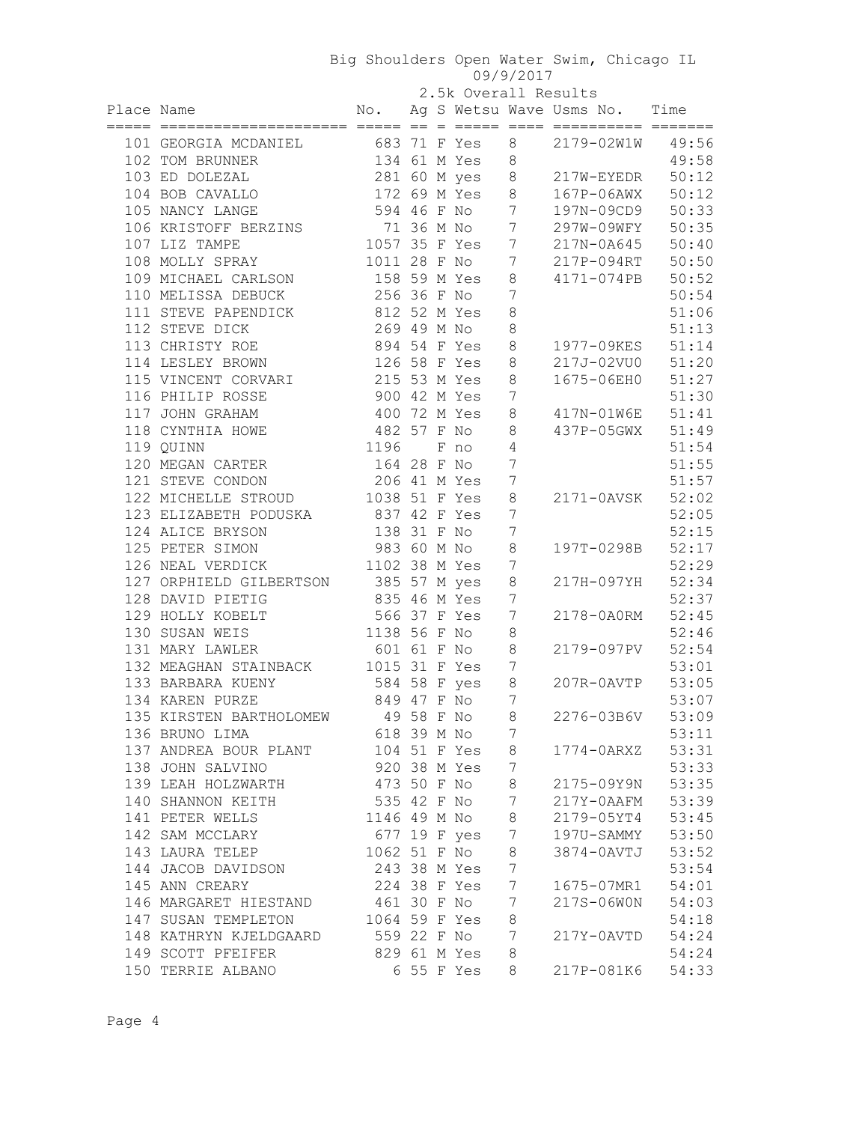|            |                                              |               |            | 2.5k Overall Results |                 |                               |                |
|------------|----------------------------------------------|---------------|------------|----------------------|-----------------|-------------------------------|----------------|
| Place Name |                                              | No.           |            |                      |                 | Ag S Wetsu Wave Usms No. Time |                |
|            | 101 GEORGIA MCDANIEL                         |               |            | 683 71 F Yes         | 8               | 2179-02W1W 49:56              |                |
|            | 102 TOM BRUNNER                              |               |            | 134 61 M Yes         | 8               |                               | 49:58          |
|            | 103 ED DOLEZAL                               |               |            | 281 60 M yes         | 8               | 217W-EYEDR                    | 50:12          |
|            | 104 BOB CAVALLO                              |               |            | 172 69 M Yes         | 8               | $167P-06AWX$                  | 50:12          |
|            | 105 NANCY LANGE                              | 594 46 F No   |            |                      | $7\phantom{.0}$ | 197N-09CD9                    | 50:33          |
|            | 106 KRISTOFF BERZINS                         | 71 36 M No    |            |                      | $7\phantom{.0}$ | 297W-09WFY                    | 50:35          |
|            | 107 LIZ TAMPE                                | 1057 35 F Yes |            |                      | $7\phantom{.0}$ | 217N-0A645                    | 50:40          |
|            | 108 MOLLY SPRAY                              | 1011 28 F No  |            |                      | 7               | 217P-094RT                    | 50:50          |
|            | 109 MICHAEL CARLSON                          | 158 59 M Yes  |            |                      | $\,8\,$         | 4171-074PB                    | 50:52          |
|            | 110 MELISSA DEBUCK                           | 256 36 F No   |            |                      | 7               |                               | 50:54          |
|            | 111 STEVE PAPENDICK                          | 812 52 M Yes  |            |                      | 8               |                               | 51:06          |
|            | 112 STEVE DICK                               | 269 49 M No   |            |                      | 8               |                               | 51:13          |
|            | 113 CHRISTY ROE                              | 894 54 F Yes  |            |                      | 8               | 1977-09KES                    | 51:14          |
|            | 114 LESLEY BROWN                             | 126 58 F Yes  |            |                      | 8               | 217J-02VU0                    | 51:20          |
|            | 115 VINCENT CORVARI                          | 215 53 M Yes  |            |                      | 8               | 1675-06EH0                    | 51:27          |
|            | 116 PHILIP ROSSE                             | 900 42 M Yes  |            |                      | 7               |                               | 51:30          |
|            | 117 JOHN GRAHAM                              | 400 72 M Yes  |            |                      | 8               | 417N-01W6E                    | 51:41          |
|            | 118 CYNTHIA HOWE                             | 482 57 F No   |            |                      | $\,8\,$         | 437P-05GWX                    | 51:49          |
|            | 119 QUINN                                    | 1196          |            | F no                 | $\sqrt{4}$      |                               | 51:54          |
|            | 120 MEGAN CARTER                             | 164 28 F No   |            |                      | 7               |                               | 51:55          |
|            | 121 STEVE CONDON                             | 206 41 M Yes  |            |                      | 7               |                               | 51:57          |
|            | 122 MICHELLE STROUD                          | 1038 51 F Yes |            |                      | $\,8\,$         | 2171-0AVSK 52:02              |                |
|            | 123 ELIZABETH PODUSKA                        | 837 42 F Yes  |            |                      | 7               |                               | 52:05          |
|            | 124 ALICE BRYSON                             | 138 31 F No   |            |                      | 7               |                               | 52:15          |
|            | 125 PETER SIMON                              | 983 60 M No   |            |                      | 8               | 197T-0298B                    | 52:17          |
|            | 126 NEAL VERDICK                             | 1102 38 M Yes |            |                      | 7               |                               | 52:29          |
|            | 127 ORPHIELD GILBERTSON 385 57 M yes         |               |            |                      | 8               | 217H-097YH                    | 52:34          |
|            | 128 DAVID PIETIG                             | 835 46 M Yes  |            |                      | 7               |                               | 52:37          |
|            | 129 HOLLY KOBELT                             | 566 37 F Yes  |            |                      | 7               | 2178-0A0RM                    | 52:45          |
|            | 130 SUSAN WEIS                               | 1138 56 F No  |            |                      | 8               |                               | 52:46          |
|            | 131 MARY LAWLER                              | 601 61 F No   |            |                      | $\,8\,$         | 2179-097PV                    | 52:54          |
|            | 132 MEAGHAN STAINBACK                        | 1015 31 F Yes |            |                      | 7               |                               | 53:01          |
|            | 133 BARBARA KUENY                            | 584 58 F yes  |            |                      | $\,8\,$         | 207R-0AVTP                    | 53:05          |
|            | 134 KAREN PURZE                              | 849 47 F No   |            |                      | 7               |                               | 53:07          |
|            | 135 KIRSTEN BARTHOLOMEW                      |               | 49 58 F No |                      | 8               | 2276-03B6V                    | 53:09          |
|            | 136 BRUNO LIMA                               | 618 39 M No   |            |                      | 7               |                               | 53:11          |
|            | 137 ANDREA BOUR PLANT                        |               |            | 104 51 F Yes         | 8               | 1774-0ARXZ                    | 53:31          |
|            | 138 JOHN SALVINO                             |               |            | 920 38 M Yes         | 7               |                               | 53:33          |
|            | 139 LEAH HOLZWARTH                           | 473 50 F No   |            |                      | 8               | 2175-09Y9N                    | 53:35          |
|            | 140 SHANNON KEITH                            | 535 42 F No   |            |                      | 7               | 217Y-0AAFM                    | 53:39          |
|            | 141 PETER WELLS                              | 1146 49 M No  |            |                      | 8               | 2179-05YT4                    | 53:45          |
|            | 142 SAM MCCLARY                              |               |            | 677 19 F yes         | 7               | 197U-SAMMY                    | 53:50          |
|            | 143 LAURA TELEP                              | 1062 51 F No  |            |                      | 8               | 3874-0AVTJ                    | 53:52          |
|            | 144 JACOB DAVIDSON                           | 243 38 M Yes  |            |                      | 7               |                               | 53:54          |
|            |                                              | 224 38 F Yes  |            |                      |                 |                               |                |
|            | 145 ANN CREARY                               | 461 30 F No   |            |                      | 7               | 1675-07MR1                    | 54:01          |
|            | 146 MARGARET HIESTAND<br>147 SUSAN TEMPLETON | 1064 59 F Yes |            |                      | 7<br>8          | 217S-06W0N                    | 54:03<br>54:18 |
|            | 148 KATHRYN KJELDGAARD                       | 559 22 F No   |            |                      | 7               |                               | 54:24          |
|            | 149 SCOTT PFEIFER                            |               |            | 829 61 M Yes         | 8               | 217Y-0AVTD                    | 54:24          |
|            | 150 TERRIE ALBANO                            |               |            | 6 55 F Yes           | 8               | 217P-081K6                    | 54:33          |
|            |                                              |               |            |                      |                 |                               |                |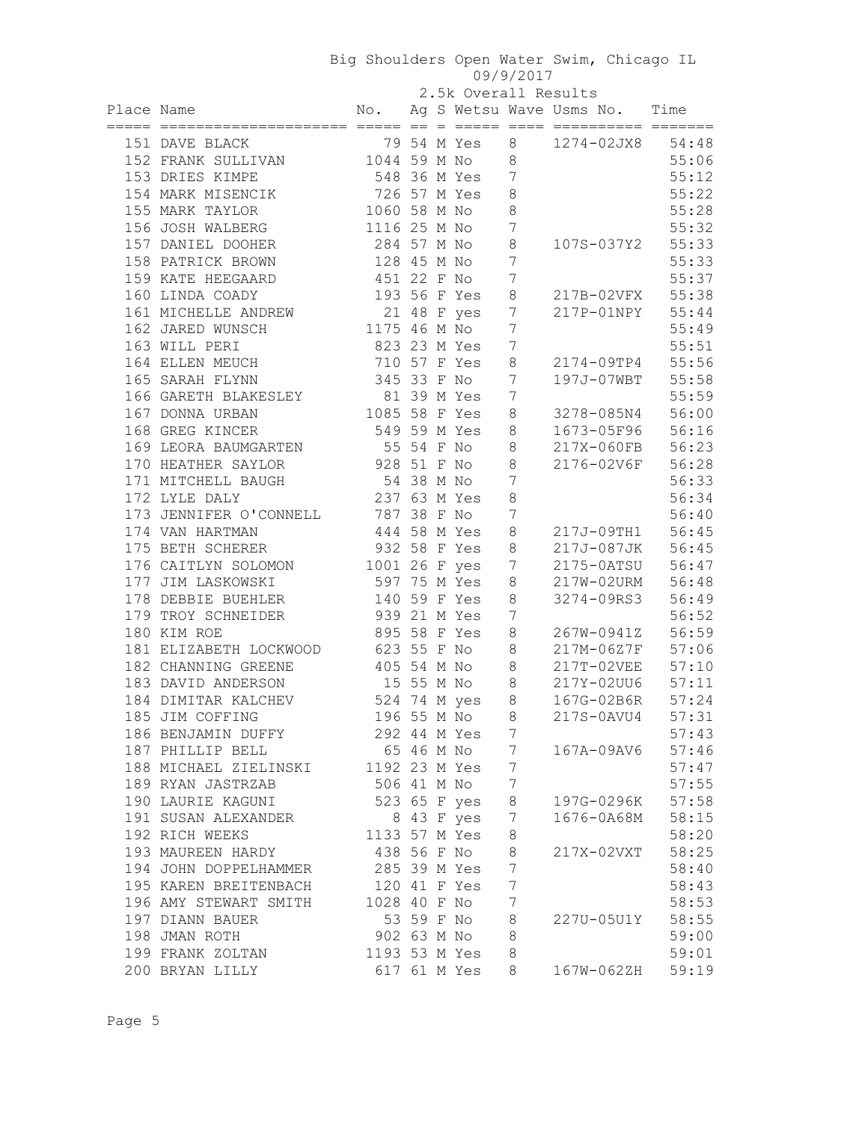| 2.5k Overall Results |  |
|----------------------|--|
|----------------------|--|

|            |                                    |               |     | 2.5k Overall Results |         |                               |       |
|------------|------------------------------------|---------------|-----|----------------------|---------|-------------------------------|-------|
| Place Name |                                    | No.           |     |                      |         | Ag S Wetsu Wave Usms No. Time |       |
|            |                                    |               | $=$ |                      |         |                               |       |
|            | 151 DAVE BLACK                     |               |     | 79 54 M Yes          | 8       | 1274-02JX8                    | 54:48 |
|            | 152 FRANK SULLIVAN                 | 1044 59 M No  |     |                      | 8       |                               | 55:06 |
|            | 153 DRIES KIMPE                    | 548 36 M Yes  |     |                      | 7       |                               | 55:12 |
|            | 154 MARK MISENCIK                  | 726 57 M Yes  |     |                      | 8       |                               | 55:22 |
|            | 155 MARK TAYLOR                    | 1060 58 M No  |     |                      | 8       |                               | 55:28 |
|            | 156 JOSH WALBERG                   | 1116 25 M No  |     |                      | 7       |                               | 55:32 |
|            | 157 DANIEL DOOHER                  | 284 57 M No   |     |                      | 8       | 107S-037Y2                    | 55:33 |
|            | 158 PATRICK BROWN                  | 128 45 M No   |     |                      | 7       |                               | 55:33 |
|            | 159 KATE HEEGAARD                  | 451 22 F No   |     |                      | 7       |                               | 55:37 |
|            | 160 LINDA COADY                    |               |     | 193 56 F Yes         | 8       | 217B-02VFX                    | 55:38 |
|            | 161 MICHELLE ANDREW                |               |     | 21 48 F yes          | 7       | 217P-01NPY                    | 55:44 |
|            | 162 JARED WUNSCH                   | 1175 46 M No  |     |                      | 7       |                               | 55:49 |
|            | 163 WILL PERI                      | 823 23 M Yes  |     |                      | 7       |                               | 55:51 |
|            | 164 ELLEN MEUCH                    | 710 57 F Yes  |     |                      | 8       | 2174-09TP4                    | 55:56 |
|            | 165 SARAH FLYNN                    | 345 33 F No   |     |                      | 7       | 197J-07WBT                    | 55:58 |
|            | 166 GARETH BLAKESLEY               | 81 39 M Yes   |     |                      | 7       |                               | 55:59 |
|            | 167 DONNA URBAN                    | 1085 58 F Yes |     |                      | 8       | 3278-085N4                    | 56:00 |
|            | 168 GREG KINCER                    | 549 59 M Yes  |     |                      | 8       | 1673-05F96                    | 56:16 |
|            | 169 LEORA BAUMGARTEN               | 55 54 F No    |     |                      | 8       | 217X-060FB                    | 56:23 |
|            | 170 HEATHER SAYLOR                 | 928 51 F No   |     |                      | $\,8\,$ | 2176-02V6F                    | 56:28 |
|            | 171 MITCHELL BAUGH                 | 54 38 M No    |     |                      | 7       |                               | 56:33 |
|            | 172 LYLE DALY                      | 237 63 M Yes  |     |                      | 8       |                               | 56:34 |
|            | 173 JENNIFER O'CONNELL 787 38 F No |               |     |                      | 7       |                               | 56:40 |
|            | 174 VAN HARTMAN                    | 444 58 M Yes  |     |                      | 8       | 217J-09TH1 56:45              |       |
|            | 175 BETH SCHERER                   | 932 58 F Yes  |     |                      | 8       | 217J-087JK 56:45              |       |
|            | 176 CAITLYN SOLOMON                | 1001 26 F yes |     |                      | 7       | 2175-0ATSU 56:47              |       |
|            | 177 JIM LASKOWSKI                  | 597 75 M Yes  |     |                      | 8       | 217W-02URM 56:48              |       |
|            | 178 DEBBIE BUEHLER                 | 140 59 F Yes  |     |                      | 8       | 3274-09RS3 56:49              |       |
|            | 179 TROY SCHNEIDER                 | 939 21 M Yes  |     |                      | 7       |                               | 56:52 |
|            | 180 KIM ROE                        | 895 58 F Yes  |     |                      | 8       | 267W-0941Z                    | 56:59 |
|            | 181 ELIZABETH LOCKWOOD             | 623 55 F No   |     |                      | 8       | 217M-06Z7F                    | 57:06 |
|            | 182 CHANNING GREENE                | 405 54 M No   |     |                      | 8       | 217T-02VEE                    | 57:10 |
|            | 183 DAVID ANDERSON                 | 15 55 M No    |     |                      | 8       | 217Y-02UU6                    | 57:11 |
|            | 184 DIMITAR KALCHEV                |               |     | 524 74 M yes         | $\,8\,$ | 167G-02B6R                    | 57:24 |
|            | 185 JIM COFFING                    | 196 55 M No   |     |                      | 8       | 217S-0AVU4                    | 57:31 |
|            | 186 BENJAMIN DUFFY                 | 292 44 M Yes  |     |                      | 7       |                               | 57:43 |
|            | 187 PHILLIP BELL                   | 65 46 M No    |     |                      | 7       | 167A-09AV6                    | 57:46 |
|            | 188 MICHAEL ZIELINSKI              | 1192 23 M Yes |     | $\overline{7}$       |         |                               | 57:47 |
|            | 189 RYAN JASTRZAB                  | 506 41 M No   |     |                      | 7       |                               | 57:55 |
|            | 190 LAURIE KAGUNI                  |               |     | 523 65 F yes         | 8       | 197G-0296K                    | 57:58 |
|            | 191 SUSAN ALEXANDER                |               |     | 8 43 F yes           | 7       | 1676-0A68M                    | 58:15 |
|            | 192 RICH WEEKS                     | 1133 57 M Yes |     |                      | 8       |                               | 58:20 |
|            | 193 MAUREEN HARDY                  | 438 56 F No   |     |                      | 8       | 217X-02VXT                    | 58:25 |
|            | 194 JOHN DOPPELHAMMER              | 285 39 M Yes  |     |                      | 7       |                               | 58:40 |
|            | 195 KAREN BREITENBACH              | 120 41 F Yes  |     |                      | 7       |                               | 58:43 |
|            | 196 AMY STEWART SMITH              | 1028 40 F No  |     |                      | 7       |                               | 58:53 |
|            | 197 DIANN BAUER                    | 53 59 F No    |     |                      | 8       | 227U-05U1Y                    | 58:55 |
|            | 198 JMAN ROTH                      | 902 63 M No   |     |                      | 8       |                               | 59:00 |
|            | 199 FRANK ZOLTAN                   | 1193 53 M Yes |     |                      | 8       |                               | 59:01 |
|            | 200 BRYAN LILLY                    | 617 61 M Yes  |     |                      | 8       | 167W-062ZH                    | 59:19 |
|            |                                    |               |     |                      |         |                               |       |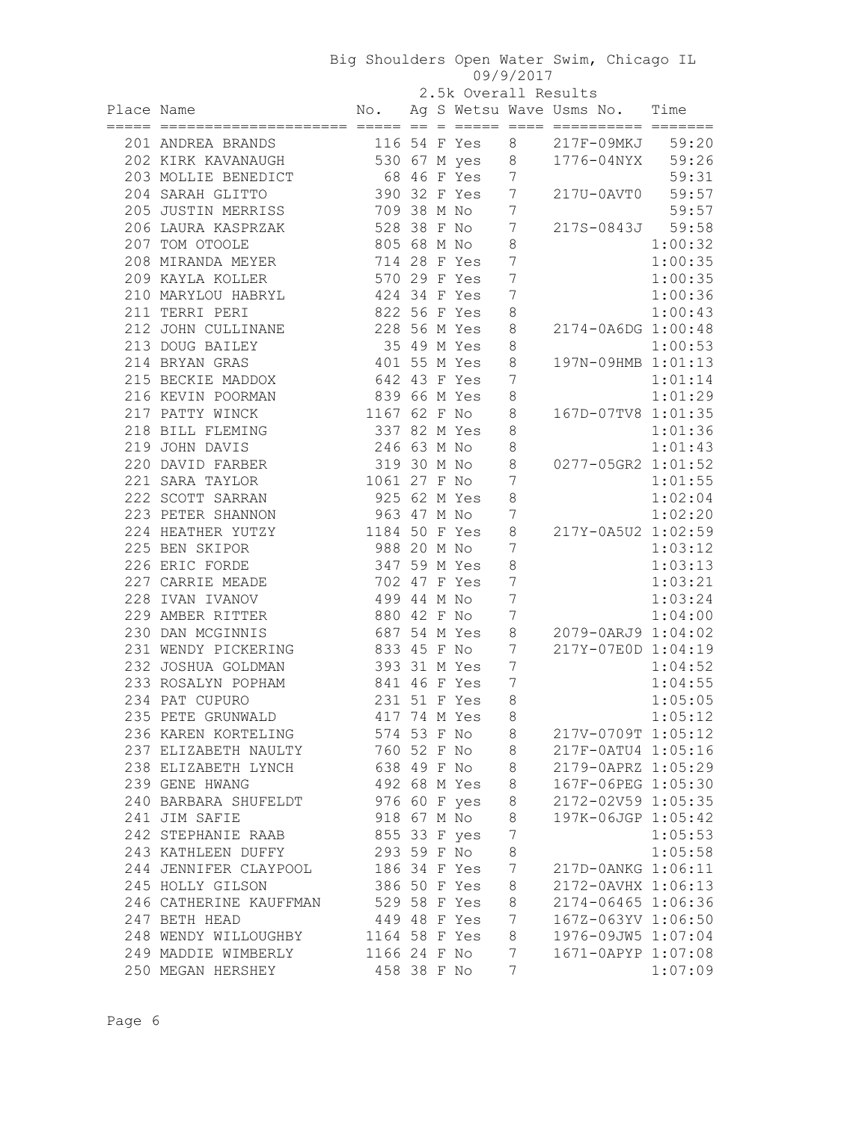2.5k Overall Results

| Place Name |                                                    |                              |  |                |                  | L.OR OVCIDIL RODGICO<br>No. Ag S Wetsu Wave Usms No. Time |         |
|------------|----------------------------------------------------|------------------------------|--|----------------|------------------|-----------------------------------------------------------|---------|
|            | 201 ANDREA BRANDS                                  |                              |  |                |                  | 116 54 F Yes 8 217F-09MKJ 59:20                           |         |
|            | 202 KIRK KAVANAUGH 530 67 M yes 8 1776-04NYX 59:26 |                              |  |                |                  |                                                           |         |
|            | 203 MOLLIE BENEDICT                                | 68 46 F Yes 7                |  |                |                  |                                                           | 59:31   |
|            | 204 SARAH GLITTO                                   | 390 32 F Yes 7               |  |                |                  | 217U-0AVT0 59:57                                          |         |
|            | 205 JUSTIN MERRISS                                 | 709 38 M No 7                |  |                |                  |                                                           | 59:57   |
|            | 206 LAURA KASPRZAK 528 38 F No 7                   |                              |  |                |                  | 217S-0843J 59:58                                          |         |
|            | 207 TOM OTOOLE                                     | 805 68 M No                  |  |                | 8                |                                                           | 1:00:32 |
|            | 208 MIRANDA MEYER                                  | 714 28 F Yes                 |  |                | $7\phantom{.0}$  |                                                           | 1:00:35 |
|            | 209 KAYLA KOLLER                                   | 570 29 F Yes                 |  |                | $7\phantom{.0}$  |                                                           | 1:00:35 |
|            | 210 MARYLOU HABRYL 424 34 F Yes                    |                              |  |                | $7\phantom{.0}$  |                                                           | 1:00:36 |
|            | 211 TERRI PERI                                     | 822 56 F Yes                 |  |                | 8                |                                                           | 1:00:43 |
|            | 212 JOHN CULLINANE 228 56 M Yes                    |                              |  |                | $\,8\,$          | 2174-0A6DG 1:00:48                                        |         |
|            | 213 DOUG BAILEY                                    | 35 49 M Yes                  |  |                | 8                |                                                           | 1:00:53 |
|            | 214 BRYAN GRAS                                     | 401 55 M Yes                 |  |                | 8                | 197N-09HMB 1:01:13                                        |         |
|            | 215 BECKIE MADDOX 642 43 F Yes                     |                              |  |                | 7                |                                                           | 1:01:14 |
|            | 216 KEVIN POORMAN 839 66 M Yes                     |                              |  |                | 8                |                                                           | 1:01:29 |
|            | 217 PATTY WINCK                                    | 1167 62 F No                 |  |                | 8                | 167D-07TV8 1:01:35                                        |         |
|            | 218 BILL FLEMING 337 82 M Yes                      |                              |  |                | 8                |                                                           | 1:01:36 |
|            | 219 JOHN DAVIS                                     | 246 63 M No                  |  |                | $\,8\,$          |                                                           | 1:01:43 |
|            | 220 DAVID FARBER                                   | 319 30 M No                  |  |                | $\,8\,$          | 0277-05GR2 1:01:52                                        |         |
|            | 221 SARA TAYLOR                                    | 1061 27 F No                 |  |                | $7\phantom{.0}$  |                                                           | 1:01:55 |
|            | 222 SCOTT SARRAN                                   | 925 62 M Yes                 |  |                | $\,8\,$          |                                                           | 1:02:04 |
|            | 223 PETER SHANNON                                  | 963 47 M No                  |  |                | $7\phantom{.0}$  |                                                           | 1:02:20 |
|            | 224 HEATHER YUTZY 1184 50 F Yes                    |                              |  |                | $\,8\,$          | 217Y-0A5U2 1:02:59                                        |         |
|            | 225 BEN SKIPOR                                     | 988 20 M No                  |  |                | 7                |                                                           | 1:03:12 |
|            | 226 ERIC FORDE                                     | 347 59 M Yes                 |  |                | $\,8\,$          |                                                           | 1:03:13 |
|            | 227 CARRIE MEADE                                   |                              |  | 702 47 F Yes 7 |                  |                                                           | 1:03:21 |
|            | 228 IVAN IVANOV                                    | 499 44 M No                  |  |                | $7\phantom{.0}$  |                                                           | 1:03:24 |
|            | 229 AMBER RITTER                                   | 880 42 F No                  |  |                | $7\phantom{.0}$  |                                                           | 1:04:00 |
|            | 230 DAN MCGINNIS                                   |                              |  | 687 54 M Yes   | $\,8\,$          | 2079-0ARJ9 1:04:02                                        |         |
|            | 231 WENDY PICKERING                                | 833 45 F No 7                |  |                |                  | 217Y-07E0D 1:04:19                                        |         |
|            | 232 JOSHUA GOLDMAN                                 | 393 31 M Yes 7               |  |                |                  |                                                           | 1:04:52 |
|            | 233 ROSALYN POPHAM                                 | 841 46 F Yes                 |  | $\overline{7}$ |                  |                                                           | 1:04:55 |
|            | 234 PAT CUPURO                                     |                              |  |                | $\,8\,$          |                                                           | 1:05:05 |
|            | 235 PETE GRUNWALD                                  | 231 51 F Yes<br>417 74 M Yes |  |                | 8                |                                                           | 1:05:12 |
|            | 236 KAREN KORTELING                                | 574 53 F No 8                |  |                |                  | 217V-0709T 1:05:12                                        |         |
|            | 237 ELIZABETH NAULTY                               | 760 52 F No                  |  |                | 8                | 217F-0ATU4 1:05:16                                        |         |
|            | 238 ELIZABETH LYNCH                                | 638 49 F No                  |  |                | 8                | 2179-0APRZ 1:05:29                                        |         |
|            | 239 GENE HWANG                                     |                              |  | 492 68 M Yes   | $\,8\,$          | 167F-06PEG 1:05:30                                        |         |
|            | 240 BARBARA SHUFELDT                               |                              |  | 976 60 F yes   | $\,8\,$          | 2172-02V59 1:05:35                                        |         |
|            | 241 JIM SAFIE                                      | 918 67 M No                  |  |                | 8                | 197K-06JGP 1:05:42                                        |         |
|            | 242 STEPHANIE RAAB                                 | 855 33 F yes                 |  |                | $\boldsymbol{7}$ |                                                           | 1:05:53 |
|            | 243 KATHLEEN DUFFY                                 | 293 59 F No                  |  |                | 8                |                                                           | 1:05:58 |
|            | 244 JENNIFER CLAYPOOL                              |                              |  | 186 34 F Yes   | $\boldsymbol{7}$ | 217D-0ANKG 1:06:11                                        |         |
|            | 245 HOLLY GILSON                                   | 386 50 F Yes                 |  |                | 8                | 2172-0AVHX 1:06:13                                        |         |
|            | 246 CATHERINE KAUFFMAN                             | 529 58 F Yes                 |  |                | $\,8\,$          | 2174-06465 1:06:36                                        |         |
|            | 247 BETH HEAD                                      | 449 48 F Yes                 |  |                | 7                | 167Z-063YV 1:06:50                                        |         |
|            | 248 WENDY WILLOUGHBY                               | 1164 58 F Yes                |  |                | 8                | 1976-09JW5 1:07:04                                        |         |
|            | 249 MADDIE WIMBERLY                                | 1166 24 F No                 |  |                | $7\phantom{.0}$  | 1671-0APYP 1:07:08                                        |         |
|            | 250 MEGAN HERSHEY                                  | 458 38 F No                  |  |                | 7                |                                                           | 1:07:09 |